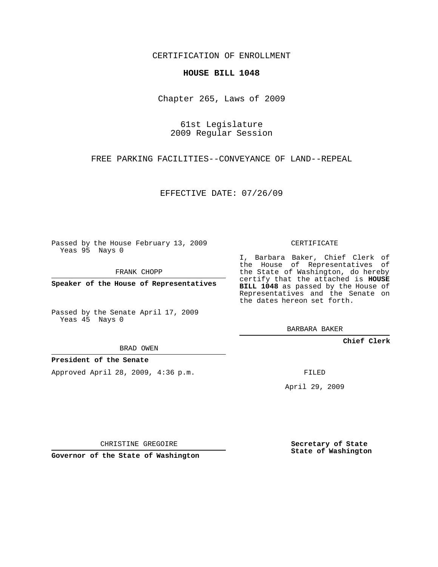CERTIFICATION OF ENROLLMENT

## **HOUSE BILL 1048**

Chapter 265, Laws of 2009

61st Legislature 2009 Regular Session

FREE PARKING FACILITIES--CONVEYANCE OF LAND--REPEAL

EFFECTIVE DATE: 07/26/09

Passed by the House February 13, 2009 Yeas 95 Nays 0

FRANK CHOPP

**Speaker of the House of Representatives**

Passed by the Senate April 17, 2009 Yeas 45 Nays 0

BRAD OWEN

## **President of the Senate**

Approved April 28, 2009, 4:36 p.m.

CERTIFICATE

I, Barbara Baker, Chief Clerk of the House of Representatives of the State of Washington, do hereby certify that the attached is **HOUSE BILL 1048** as passed by the House of Representatives and the Senate on the dates hereon set forth.

BARBARA BAKER

**Chief Clerk**

FILED

April 29, 2009

CHRISTINE GREGOIRE

**Governor of the State of Washington**

**Secretary of State State of Washington**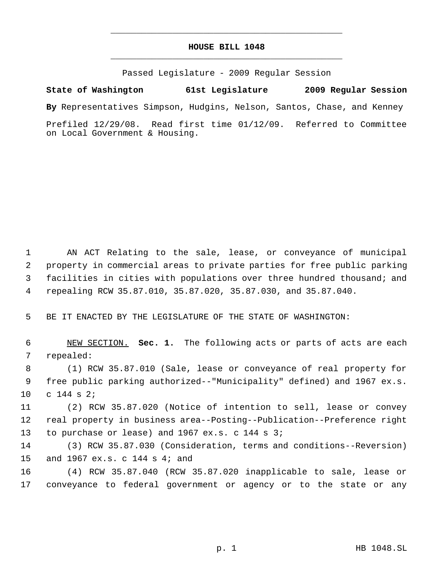## **HOUSE BILL 1048** \_\_\_\_\_\_\_\_\_\_\_\_\_\_\_\_\_\_\_\_\_\_\_\_\_\_\_\_\_\_\_\_\_\_\_\_\_\_\_\_\_\_\_\_\_

\_\_\_\_\_\_\_\_\_\_\_\_\_\_\_\_\_\_\_\_\_\_\_\_\_\_\_\_\_\_\_\_\_\_\_\_\_\_\_\_\_\_\_\_\_

Passed Legislature - 2009 Regular Session

**State of Washington 61st Legislature 2009 Regular Session By** Representatives Simpson, Hudgins, Nelson, Santos, Chase, and Kenney

Prefiled 12/29/08. Read first time 01/12/09. Referred to Committee on Local Government & Housing.

 AN ACT Relating to the sale, lease, or conveyance of municipal property in commercial areas to private parties for free public parking facilities in cities with populations over three hundred thousand; and repealing RCW 35.87.010, 35.87.020, 35.87.030, and 35.87.040.

BE IT ENACTED BY THE LEGISLATURE OF THE STATE OF WASHINGTON:

 NEW SECTION. **Sec. 1.** The following acts or parts of acts are each repealed:

 (1) RCW 35.87.010 (Sale, lease or conveyance of real property for free public parking authorized--"Municipality" defined) and 1967 ex.s. c 144 s 2;

 (2) RCW 35.87.020 (Notice of intention to sell, lease or convey real property in business area--Posting--Publication--Preference right to purchase or lease) and 1967 ex.s. c 144 s 3;

 (3) RCW 35.87.030 (Consideration, terms and conditions--Reversion) and 1967 ex.s. c 144 s 4; and

 (4) RCW 35.87.040 (RCW 35.87.020 inapplicable to sale, lease or conveyance to federal government or agency or to the state or any